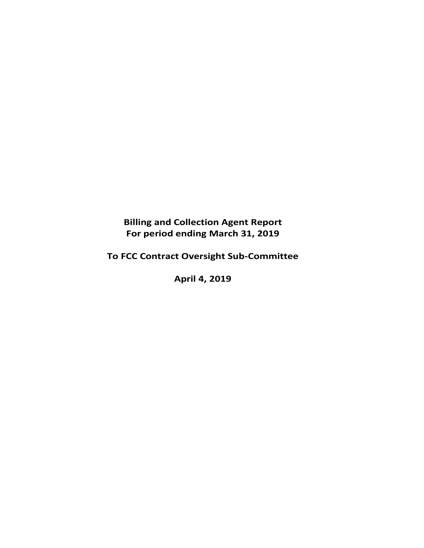**Billing and Collection Agent Report For period ending March 31, 2019** 

**To FCC Contract Oversight Sub‐Committee** 

**April 4, 2019**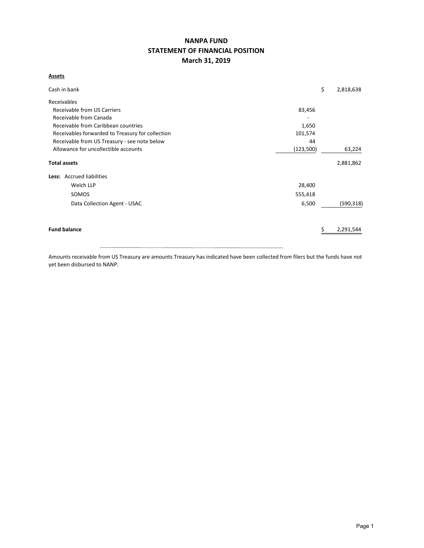# **NANPA FUND STATEMENT OF FINANCIAL POSITION March 31, 2019**

# **Assets**

| Cash in bank                                     |           | \$<br>2,818,638 |
|--------------------------------------------------|-----------|-----------------|
| Receivables                                      |           |                 |
| Receivable from US Carriers                      | 83,456    |                 |
| Receivable from Canada                           |           |                 |
| Receivable from Caribbean countries              | 1,650     |                 |
| Receivables forwarded to Treasury for collection | 101,574   |                 |
| Receivable from US Treasury - see note below     | 44        |                 |
| Allowance for uncollectible accounts             | (123,500) | 63,224          |
| <b>Total assets</b>                              |           | 2,881,862       |
| Less: Accrued liabilities                        |           |                 |
| Welch LLP                                        | 28,400    |                 |
| SOMOS                                            | 555,418   |                 |
| Data Collection Agent - USAC                     | 6,500     | (590, 318)      |
| <b>Fund balance</b>                              |           | 2,291,544       |
|                                                  |           |                 |

Amounts receivable from US Treasury are amounts Treasury has indicated have been collected from filers but the funds have not yet been disbursed to NANP.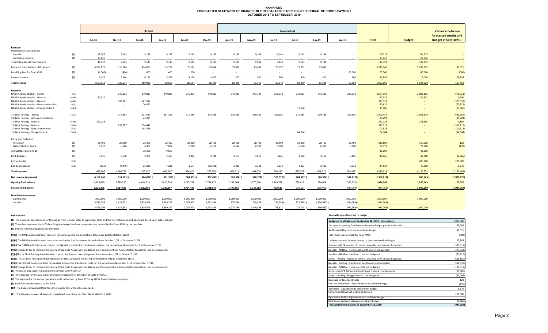#### **NANP FUND FORECASTED STATEMENT OF CHANGES IN FUND BALANCE BASED ON NO DEFERRAL OF SOMOS PAYMENTOCTOBER 2018 TO SEPTEMBER 2019**

|                                                 |        | Actual    |               |               |           |           | Forecasted    |           |            |                          |               |            |             |              | <b>Variance between</b> |                        |
|-------------------------------------------------|--------|-----------|---------------|---------------|-----------|-----------|---------------|-----------|------------|--------------------------|---------------|------------|-------------|--------------|-------------------------|------------------------|
|                                                 |        |           |               |               |           |           |               |           |            |                          |               |            |             |              |                         | forecasted results and |
|                                                 |        | Oct-18    | <b>Nov-18</b> | <b>Dec-18</b> | Jan-19    | Feb-19    | <b>Mar-19</b> | Apr-19    | $May-19$   | Jun-19                   | <b>Jul-19</b> | Aug-19     | Sep-19      | <b>Total</b> | <b>Budget</b>           | budget at Sept 30/19   |
| Revenue                                         |        |           |               |               |           |           |               |           |            |                          |               |            |             |              |                         |                        |
| <b>International Contributions</b>              |        |           |               |               |           |           |               |           |            |                          |               |            |             |              |                         |                        |
| Canada                                          | (1)    | 18,286    | 9,143         | 9,143         | 9,143     | 9,143     | 9,143         | 9,143     | 9,143      | 9,143                    | 9,143         | 9,144      |             | 109,717      | 109,717                 |                        |
| Caribbean countries                             | (1)    | 23,036    | $\sim$        | $\sim$        | $\sim$    | $\sim$    | $\sim$        |           | $\sim$     | $\sim$                   | $\sim$        | $\sim$     | $\sim$      | 23,036       | 23,036                  |                        |
| <b>Total International Contributions</b>        |        | 41,322    | 9,143         | 9,143         | 9,143     | 9,143     | 9,143         | 9,143     | 9,143      | 9,143                    | 9,143         | 9,144      | $\sim$      | 132,753      | 132,753                 |                        |
| Domestic Contributions - US carriers            | (1)    | 4,538,876 | 115,084       | 474,065       | 73,710    | 76,122    | 73,604        | 73,697    | 73,697     | 73,697                   | 73,697        | 73,697     |             | 5,719,946    | 5,639,875               | 80,071                 |
| Late filing fees for Form 499A                  | (2)    | (1,300)   | (400)         | 600           | 400       | 200       | $\sim$        | $\sim$    | $\sim$     | $\sim$                   | $\sim$        | $\sim$     | 66,000      | 65,500       | 66,000                  | (500)                  |
| Interest income                                 | (3)    | 6,155     | 5,244         | 6,112         | 5,355     | 4,129     | 3,902         | 500       | 500        | 500                      | 500           | 500        | 500         | 33,897       | 6,000                   | 27,897                 |
| <b>Total revenue</b>                            |        | 4,585,053 | 129,071       | 489,920       | 88,608    | 89,594    | 86,649        | 83,340    | 83,340     | 83,340                   | 83,340        | 83,341     | 66,500      | 5,952,096    | 5,844,628               | 107,468                |
|                                                 |        |           |               |               |           |           |               |           |            |                          |               |            |             |              |                         |                        |
| <b>Expenses</b><br>NANPA Administration - Somos | (4)(a) | $\sim$    | 240,833       | 240,833       | 240,833   | 240,833   | 240,833       | 243,333   | 243,333    | 243,333                  | 243,333       | 243,333    | 243,333     | 2,664,163    | 2,088,152               | (576, 011)             |
| NANPA Administration - Neustar                  | (4)(b) | 187,332   |               |               |           |           |               |           |            |                          |               |            |             | 187,332      | 189,832                 | 2,500                  |
| NANPA Administration - Neustar                  | (4)(b) |           | 188,201       | 187,332       |           |           |               |           |            |                          |               |            |             | 375,533      |                         | (375, 533)             |
| NANPA Administration - Neustar transition       | (4)(c) | $\sim$    | $\sim$        | 70,822        |           |           |               |           |            |                          |               |            |             | 70,822       |                         | (70, 822)              |
| NANPA Administration - Change Order A           | (4)(d) |           |               |               |           |           |               |           |            |                          | 19,606        |            |             | 19,606       |                         | (19, 606)              |
|                                                 |        |           |               |               |           |           |               |           |            |                          |               |            |             |              |                         |                        |
| 1K Block Pooling - Somos                        | (5)(a) | $\sim$    | 314,855       | 314,585       | 314,315   | 314,585   | 314,585       | 319,585   | 319,585    | 319,585                  | 319,585       | 319,585    | 319,585     | 3,490,435    | 2,848,879               | (641, 556)             |
| 1K Block Pooling - Somos pre-transition         |        |           |               | 25,294        |           |           |               |           |            |                          |               |            |             | 25,294       |                         | (25, 294)              |
| 1K Block Pooling - Neustar                      | (5)(b) | 257,128   |               |               |           |           |               |           |            |                          |               |            |             | 257,128      | 258,988                 | 1,860                  |
| 1K Block Pooling - Neustar                      | (5)(b) |           | 258,777       | 254,442       |           |           |               |           |            |                          |               |            |             | 513,219      |                         | (513, 219)             |
| 1K Block Pooling - Neustar transition           | (5)(c) |           |               | 101,518       |           |           |               |           |            |                          |               |            |             | 101,518      |                         | (101, 518)             |
| 1K Block Pooling - Change Order A               | (5)(d) |           |               |               |           |           |               |           |            |                          | 64,004        |            |             | 64,004       |                         | (64,004)               |
| <b>Billing and Collection</b>                   |        |           |               |               |           |           |               |           |            |                          |               |            |             |              |                         |                        |
| Welch LLP                                       | (6)    | 28,400    | 28,400        | 28,400        | 28,400    | 28,400    | 28,400        | 28,400    | 28,400     | 28,400                   | 28,400        | 28,400     | 28,400      | 340,800      | 340,920                 | 120                    |
| Data Collection Agent                           | (7)    | 6,637     | 6,586         | 6,465         | 7,062     | 6,210     | 6,210         | 6,500     | 6,500      | 6,500                    | 6,500         | 6,500      | 6,500       | 78,170       | 78,000                  | (170)                  |
| <b>Annual Operations Audit</b>                  | (8)    | $\sim$    | $\sim$        | 38,400        | 9,600     | $\sim$    | $\sim$        | $\sim$    | $\sim$     | $\sim$                   | $\sim$        |            | $\sim$      | 48,000       | 48,000                  |                        |
| <b>Bank Charges</b>                             | (9)    | 3,835     | 7,530         | 2,478         | 2,456     | 2,821     | 2,148         | 3,167     | 3,167      | 3,166                    | 3,166         | 3,166      | 3,166       | 40,266       | 38,000                  | (2, 266)               |
| <b>Carrier Audits</b>                           | (10)   | $\sim$    | $\sim$        | $\sim$        | $\sim$    | $\sim$    | $\sim$        | $\sim$    | $\sim$     | $\overline{\phantom{a}}$ | $\sim$        |            | $\sim$      |              | 200,000                 | 200,000                |
| Bad debt expense                                | (11)   | (525)     | (4, 449)      | 23,388        | 7,281     | 1,577     | (12, 646)     | 3,333     | 3,333      | 3,333                    | 3,333         | 3,333      | 3,333       | 34,624       | 40,000                  | 5,376                  |
| <b>Total expenses</b>                           |        | 482,807   | 1,040,733     | 1,293,957     | 609,947   | 594,426   | 579,530       | 604,318   | 604,318    | 604,317                  | 687,927       | 604,317    | 604,317     | 8,310,914    | 6,130,771               | (2, 180, 143)          |
| Net revenue (expenses)                          |        | 4,102,246 | 911,662)      | 804,037)      | 521,339)  | 504,832)  | 492,881)      | 520,978)  | 520,978) ( | 520,977)                 | 604,587)      | 520,976) ( | $537,817$ ) | 2,358,818)   | 286,143)                | (2,072,675)            |
| <b>Opening fund balance</b>                     |        | 1,424,049 | 5,526,295     | 4,614,633     | 3,810,596 | 3,289,257 | 2,784,425     | 2,291,544 | 1,770,566  | 1,249,588                | 728,611       | 124,024    | (396, 952)  | 1,424,049    | 1,286,143               | 137,906                |
| <b>Closing fund balance</b>                     |        | 5,526,295 | 4,614,633     | 3,810,596     | 3,289,257 | 2,784,425 | 2,291,544     | 1,770,566 | 1,249,588  | 728,611                  | 124,024       | (396, 952) | (934, 769)  | (934, 769)   | 1,000,000               | (1,934,769)            |
|                                                 |        |           |               |               |           |           |               |           |            |                          |               |            |             |              |                         |                        |
| Fund balance makeup:<br>Contingency             |        | 1,000,000 | 1,000,000     | 1,000,000     | 1,000,000 | 1,000,000 | 1,000,000     | 1,000,000 | 1,000,000  | 1,000,000                | 1,000,000     | 1,000,000  | 1,000,000   | 1,000,000    | 1,000,000               |                        |
| Surplus                                         |        | 4,526,295 | 3,614,633     | 2,810,596     | 2,289,257 | 1,784,425 | 1,291,544     | 770,566   | 249,588    | 271,389)                 | 875,976)      | 1,396,952) | 1,934,769)  | 1,934,769)   |                         |                        |
|                                                 |        |           |               |               |           |           |               |           |            |                          |               |            |             |              |                         |                        |

5,526,295 4,614,633 3,810,596 3,289,257 2,784,425 2,291,544 1,770,566 1,249,588 728,611 124,024 ( 396,952) ( 934,769) ( 934,769) 1,000,000

#### **Assumptions: Reconciliation of forecast to budget Budgeted fund balance at September 30, 2019 ‐ contingency** 1,000,000 (2) These fees represent the \$100 late filing fee charged to those companies that do not file the Form 499A by the due date. **Decrease in contactual and actual actual** 137,906 Additional billings over estimate from budget 80,071 **(4)(a)** The NANPA Administration contract for Somos covers the period from November 1/18 to October 31/19 (500) (4)(b) The NANPA Administration contract extension for NeuStar covers the period from October 1/18 to December 31/18 Underest interest earned to the compared to date compared to budget 27,897 (4)(c) The NANPA excess of contract awarded over amount budgeted (576,011) Somos - NANPA - excess of contract awarded over amount budgeted (576,011) (a)(d) Change Order to combine the Central Office Code Assignment Guidelines and Thousands‐Block Administration Guidelines into one document. (373,033) compare and Thousands‐Block Administration Guidelines into one documen (5)(a)The 1K Block Pooling Administration contract for Somos covers the period from November 1/18 to October 31/19 (70,822) NeuStar ← NANPA ← transition costs not budgeted (70,822) (5)(b) The 1K Block Pooling contract extension for NeuStar covers the period from October 1/18 to December 31/18 (666,850) and a start covers the contract avariance of contract awarded over amount budgeted (666,850)  $\sim$  0 (S)(c) The1K Block Pooling contract for NeuStar provides for transitional costs for the period from November 1/18 to December 31/18 (511,359) (511,359) (511,359) (511,359) (511,359) (511,359) (511,359) (5)(d) Change Order to combine the Central Office Code Assignment Guidelines and Thousands‐Block Administration Guidelines into one document. (101,518) and the US of the Central Office Code Assignment Guidelines and Thousa (19,606) (7) The expense for the Data Collection Agent is based on an allocation of costs by USAC. (64,004) COLLECTION Agent is based on an allocation of costs by USAC. (64,004) **(8)** The expense for the annual operations audit performed by Ernst & Young LLP is based on the quote given. 120 (**9)** Bank fees are an expense to the Fund. (170) and a collection fees - Adjustment to actual from budget (170) and Collection fees - Adjustment to actual from budget (170) and Collection fees - Adjustment to actual from (10) The budget allows \$200,000 for carrier audits. This will not be expended. The second content of the second content of the second content of the second content of the second content of the second content of the second **(11)** The allowance covers all accounts considered potentially uncollectible at March 31, 2019. 200,000 200,000 200,000 200,000 200,000 200,000 200,000 200,000 200,000 200,000 200,000 200,000 200,000 200,000 200,000 200,0  $(2,266)$ <br>(934,769) NeuStar ‐ Pooling ‐ transitional month costs not budgeted Bad debts ‐ Adjustment to actual from budget **(6)** The cost of B&C Agent is based on the contract with Welch LLP **(1)** The US carrier contributions for the period from October 2018 to September 2019 and the International contributions are based upon actual billings. NeuStar ‐ NANPA ‐ transitional month costs not budgeted Somos ‐ Pooling ‐ excess of contract awarded over amount budgeted Late filing fees (reversal) for Form 499A Somos ‐ NANPA ‐ excess of contract awarded over amount budgeted **(3)** Interest income projections are estimates NeuStar ‐ NANPA ‐ transition costs not budgeted omos - NANPA Administration Change Order A - not budgeted Somos ‐ Pooling Change Order A ‐ not budgeted Carrier audits that will not be performed oerations Audit - Adjustment to actual from budget ank fees - Variance between actual and bud Decrease in B&C Agent costs<br>Data Collection fees - Adjustment to actual from budget

**Forecaseted fund balance at September 30, 2019** 

Page 2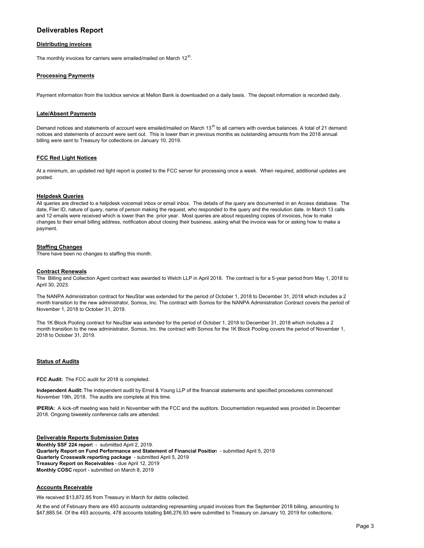# **Deliverables Report**

### **Distributing invoices**

The monthly invoices for carriers were emailed/mailed on March  $12<sup>th</sup>$ .

## **Processing Payments**

Payment information from the lockbox service at Mellon Bank is downloaded on a daily basis. The deposit information is recorded daily.

### **Late/Absent Payments**

Demand notices and statements of account were emailed/mailed on March 13<sup>th</sup> to all carriers with overdue balances. A total of 21 demand notices and statements of account were sent out. This is lower than in previous months as outstanding amounts from the 2018 annual billing were sent to Treasury for collections on January 10, 2019.

#### **FCC Red Light Notices**

At a minimum, an updated red light report is posted to the FCC server for processing once a week. When required, additional updates are posted.

#### **Helpdesk Queries**

All queries are directed to a helpdesk voicemail inbox or email inbox. The details of the query are documented in an Access database. The date, Filer ID, nature of query, name of person making the request, who responded to the query and the resolution date. In March 13 calls and 12 emails were received which is lower than the prior year. Most queries are about requesting copies of invoices, how to make changes to their email billing address, notification about closing their business, asking what the invoice was for or asking how to make a payment.

### **Staffing Changes**

There have been no changes to staffing this month.

#### **Contract Renewals**

The Billing and Collection Agent contract was awarded to Welch LLP in April 2018. The contract is for a 5-year period from May 1, 2018 to April 30, 2023.

The NANPA Administration contract for NeuStar was extended for the period of October 1, 2018 to December 31, 2018 which includes a 2 month transition to the new administrator, Somos, Inc. The contract with Somos for the NANPA Administration Contract covers the period of November 1, 2018 to October 31, 2019.

The 1K Block Pooling contract for NeuStar was extended for the period of October 1, 2018 to December 31, 2018 which includes a 2 month transition to the new administrator, Somos, Inc. the contract with Somos for the 1K Block Pooling covers the period of November 1, 2018 to October 31, 2019.

#### **Status of Audits**

**FCC Audit:** The FCC audit for 2018 is completed.

**Independent Audit:** The independent audit by Ernst & Young LLP of the financial statements and specified procedures commenced November 19th, 2018. The audits are complete at this time.

**IPERIA:** A kick-off meeting was held in November with the FCC and the auditors. Documentation requested was provided in December 2018. Ongoing biweekly conference calls are attended.

#### **Deliverable Reports Submission Dates Monthly SSF 224 repor**t - submitted April 2, 2019. **Quarterly Report on Fund Performance and Statement of Financial Positio**n - submitted April 5, 2019 **Quarterly Crosswalk reporting package** - submitted April 5, 2019 **Treasury Report on Receivables** - due April 12, 2019 **Monthly COSC** report - submitted on March 8, 2019

#### **Accounts Receivable**

We received \$13,872.85 from Treasury in March for debts collected.

At the end of February there are 493 accounts outstanding representing unpaid invoices from the September 2018 billing, amounting to \$47,885.54. Of the 493 accounts, 478 accounts totalling \$46,276.93 were submitted to Treasury on January 10, 2019 for collections.